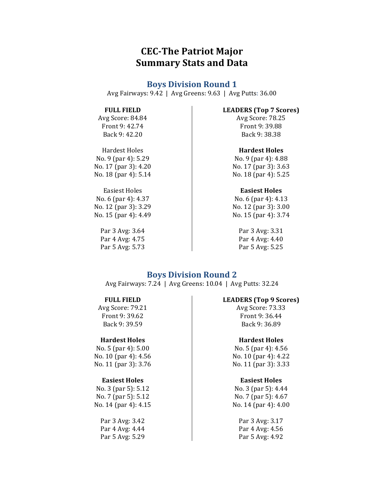# **CEC-The Patriot Major Summary Stats and Data**

# **Boys Division Round 1**

Avg Fairways:  $9.42$  | Avg Greens:  $9.63$  | Avg Putts:  $36.00$ 

### **FULL FIELD**

Avg Score: 84.84 Front 9: 42.74 Back 9: 42.20

Hardest Holes No.  $9$  (par 4):  $5.29$ No. 17 (par 3): 4.20 No. 18 (par 4): 5.14

**Easiest Holes** No. 6 (par 4): 4.37 No. 12 (par 3): 3.29 No. 15 (par 4): 4.49

> Par 3 Avg: 3.64 Par 4 Avg: 4.75 Par 5 Avg: 5.73

#### **LEADERS (Top 7 Scores)**

Avg Score: 78.25 Front 9: 39.88 Back 9: 38.38

### **Hardest Holes**

No. 9 (par 4): 4.88 No. 17 (par 3): 3.63 No. 18 (par 4): 5.25

# **Easiest Holes**

No. 6 (par 4): 4.13 No. 12 (par 3): 3.00 No. 15 (par 4): 3.74

> Par 3 Avg: 3.31 Par 4 Avg: 4.40 Par 5 Avg: 5.25

# **Boys Division Round 2**

Avg Fairways: 7.24 | Avg Greens: 10.04 | Avg Putts: 32.24

#### **FULL FIELD**

Avg Score: 79.21 Front 9: 39.62 Back 9: 39.59

# **Hardest Holes**

No. 5 (par 4): 5.00 No. 10 (par 4): 4.56 No. 11 (par 3): 3.76

#### **Easiest Holes**

No. 3 (par 5): 5.12 No. 7 (par 5): 5.12 No. 14 (par 4): 4.15

Par 3 Avg: 3.42 Par 4 Avg: 4.44 Par 5 Avg: 5.29

#### LEADERS (Top 9 Scores)

Avg Score: 73.33 Front 9: 36.44 Back 9: 36.89

### **Hardest Holes**

No. 5 (par 4):  $4.56$ No. 10 (par 4): 4.22 No. 11 (par 3): 3.33

#### **Easiest Holes**

No. 3 (par 5): 4.44 No. 7 (par 5): 4.67 No. 14 (par 4): 4.00

> Par 3 Avg: 3.17 Par 4 Avg: 4.56 Par 5 Avg: 4.92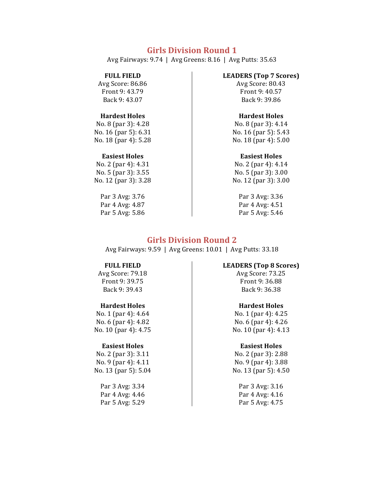# **Girls Division Round 1**

Avg Fairways: 9.74 | Avg Greens: 8.16 | Avg Putts: 35.63

#### **FULL FIELD**

Avg Score: 86.86 Front 9: 43.79 Back 9: 43.07

### **Hardest Holes**

No. 8 (par 3): 4.28 No. 16 (par 5): 6.31 No. 18 (par 4): 5.28

#### **Easiest Holes**

No. 2 (par 4): 4.31 No. 5 (par 3): 3.55 No. 12 (par 3): 3.28

> Par 3 Avg: 3.76 Par 4 Avg: 4.87 Par 5 Avg: 5.86

### **LEADERS (Top 7 Scores)**

Avg Score: 80.43 Front 9: 40.57 Back 9: 39.86

### **Hardest Holes**

No. 8 (par 3): 4.14 No. 16 (par 5): 5.43 No. 18 (par 4): 5.00

#### **Easiest Holes**

No. 2 (par 4): 4.14 No. 5 (par 3): 3.00 No. 12 (par 3): 3.00

> Par 3 Avg: 3.36 Par 4 Avg: 4.51 Par 5 Avg: 5.46

# **Girls Division Round 2**

Avg Fairways: 9.59 | Avg Greens: 10.01 | Avg Putts: 33.18

### **FULL FIELD**

Avg Score: 79.18 Front 9: 39.75 Back 9: 39.43

# **Hardest Holes**

No. 1 (par 4): 4.64 No. 6 (par 4): 4.82 No. 10 (par 4): 4.75

### **Easiest Holes**

No. 2 (par 3): 3.11 No. 9 (par 4): 4.11 No. 13 (par 5): 5.04

> Par 3 Avg: 3.34 Par 4 Avg: 4.46 Par 5 Avg: 5.29

#### **LEADERS (Top 8 Scores)**

Avg Score: 73.25 Front 9: 36.88 Back 9: 36.38

# **Hardest Holes**

No. 1 (par 4): 4.25 No. 6 (par 4): 4.26 No. 10 (par 4): 4.13

# **Easiest Holes**

No. 2 (par 3): 2.88 No. 9 (par 4): 3.88 No. 13 (par 5): 4.50

> Par 3 Avg: 3.16 Par 4 Avg: 4.16 Par 5 Avg: 4.75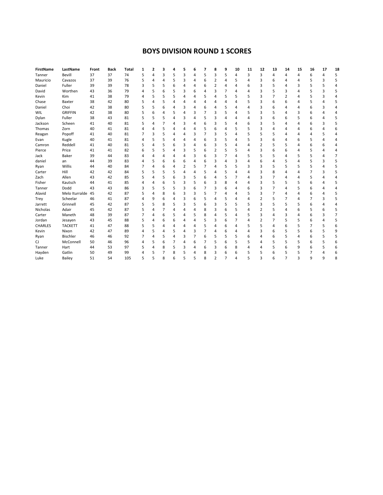# **BOYS DIVISION ROUND 1 SCORES**

| <b>FirstName</b> | LastName          | Front | <b>Back</b> | <b>Total</b> | 1 | 2 | 3 |                | 5 | 6 |   | 8                        | 9 | 10 | 11 | 12 | 13 | 14             | 15       | 16 | 17             | 18 |
|------------------|-------------------|-------|-------------|--------------|---|---|---|----------------|---|---|---|--------------------------|---|----|----|----|----|----------------|----------|----|----------------|----|
| Tanner           | Bevill            | 37    | 37          | 74           | 5 | 4 | 3 | 5              | 3 | 4 | 5 | 3                        | 5 | 4  | 3  | 3  | 4  | 4              | 4        | 6  | 4              | 5  |
| Mauricio         | Cavazos           | 37    | 39          | 76           | 5 | 4 | 4 | 5              | 3 | 4 | 6 | 2                        | 4 | 5  |    | 3  | 6  | 4              | 4        | 5  | 3              | 5  |
| Daniel           | Fuller            | 39    | 39          | 78           | 3 | 5 | 5 | 6              | 4 | 4 | 6 | 2                        | 4 |    | 6  | 3  | 5  | 4              | 3        | 5  | 5              | 4  |
| David            | Worthen           | 43    | 36          | 79           | 4 | 5 | 6 | 5              | 3 | 6 | 4 | 3                        | 7 |    | Δ  | 3  | 5  | 3              | 4        | 5  | 3              | 5  |
| Kevin            | Kim               | 41    | 38          | 79           | 4 | 5 | 5 | 5              | 4 | 4 | 5 | 4                        | 5 | 5  | 5  | 3  | 7  | $\overline{2}$ | 4        | 5  | 3              | 4  |
| Chase            | Baxter            | 38    | 42          | 80           | 5 | 4 | 5 | $\overline{4}$ | 4 | 4 | Δ | 4                        | 4 |    | 5  | 3  | 6  | 6              | 4        | 5  | 4              | 5  |
| Daniel           | Choi              | 42    | 38          | 80           | 5 | 5 | 6 | 4              | 3 | 4 | 6 | 4                        | 5 |    |    | 3  | 6  | 4              | 4        | 6  | 3              | 4  |
| WIL              | <b>GRIFFIN</b>    | 42    | 38          | 80           | 5 | 6 | Δ | 5              | Δ | 3 | 7 | 3                        | 5 |    |    | 3  | 5  | Δ              | 3        | 6  | Δ              | 4  |
| Dylan            | Fuller            | 38    | 43          | 81           | 5 | 5 | 5 | $\overline{4}$ | Э | 4 | 5 | 3                        | Δ |    |    | 3  | 6  | 6              | 5        | 6  | 4              | 5  |
| Jackson          | Scheen            | 41    | 40          | 81           | 5 | 4 | 7 | 4              | 3 | 4 | 6 | 3                        | 5 |    | 6  | 3  | 5  | 4              | 4        | 6  | 3              | 5  |
| Thomas           | Zorn              | 40    | 41          | 81           | 4 | 4 | 5 | 4              | 4 | 4 | 5 | 6                        | 4 | 5  | 5  | 3  | 4  | 4              | 4        | 6  | 4              | 6  |
| Reagan           | Popoff            | 41    | 40          | 81           | 7 | 3 | 5 | $\overline{4}$ | 4 | 3 | 7 | 3                        | 5 |    | 5  | 5  | 5  | 4              | 4        | 4  | 5              | 4  |
| Evan             | Kugle             | 40    | 41          | 81           | 4 | 5 | 5 | $\overline{4}$ | 4 | 4 | 6 | 3                        | 5 | 4  | 5  | 3  | 6  | 4              | 6        | 5  | $\overline{4}$ | 4  |
| Camron           | Reddell           | 41    | 40          | 81           | 5 | 4 | 5 | 6              | 3 | 4 | 6 | 3                        | 5 |    |    | 2  | 5  | 5              | 4        | 6  | 6              | 4  |
| Pierce           | Price             | 41    | 41          | 82           | 6 | 5 | 5 | 4              | 3 | 5 | 6 | $\overline{2}$           | 5 | 5  |    | 3  | 6  | 6              | $\Delta$ | 5  | 4              | 4  |
| Jack             | Baker             | 39    | 44          | 83           |   | 4 |   | 4              | 4 | 3 | 6 | 3                        | 7 | 4  | 5  | 5  | 5  | 4              | 5        | 5  | 4              | 7  |
| daniel           | an                | 44    | 39          | 83           | 4 | 5 | 6 | 6              | 6 | 4 | 6 | 3                        | 4 | 3  |    | 6  | 4  | 5              |          | 5  | 3              | 5  |
| Ryan             | Willis            | 44    | 40          | 84           | 7 | 4 | 6 | 4              | 2 | 5 |   | 4                        | 5 | 5  | 3  | 3  | 5  | 5              | 5        | 5  | 4              | 5  |
| Carter           | Hill              | 42    | 42          | 84           | 5 | 5 | 5 | 5              | 4 | 4 | 5 | 4                        | 5 |    |    | 3  | 8  | 4              | 4        | 7  | 3              | 5  |
| Zach             | Allen             | 43    | 42          | 85           | 5 | 4 | 5 | 6              | 3 | 5 | 6 | 4                        | 5 |    |    | 3  | 7  | 4              | 4        | 5  | 4              | 4  |
| Fisher           | Kautsch           | 44    | 41          | 85           | 4 | 4 | 6 | 5              | 3 | 5 | 6 | 3                        | 8 |    |    | 3  | 5  | 5              | 5        | 6  | $\overline{4}$ | 5  |
| Tanner           | Dodd              | 43    | 43          | 86           | 3 | 5 | 5 | 5              | 3 | 6 | 7 | 3                        | 6 | 4  | 6  | 3  | 7  | 4              | 5        | 6  | 4              | 4  |
| Alavid           | Melo Iturralde 45 |       | 42          | 87           | 5 | 4 | 8 | 6              | 3 | 3 | 5 | 7                        | 4 | Δ  | 5  | 3  | 7  | 4              | $\Delta$ | 6  | 4              | 5  |
| Trey             | Scheelar          | 46    | 41          | 87           | 4 | 9 | 6 | 4              | 3 | 6 | 5 | 4                        | 5 |    | Δ  | 2  | 5  | 7              | 4        | 7  | 3              | 5  |
| Jarrett          | Grinnell          | 45    | 42          | 87           | 5 | 5 | 8 | 5              | 3 | 5 | 6 | 3                        | 5 | 5  | 5  | 3  | 5  | 5              | 5        | 6  | 4              | 4  |
| Nicholas         | Adair             | 45    | 42          | 87           | 5 | 4 | 7 | 4              | 4 | 4 | 8 | 3                        | 6 |    |    | 2  | 5  | 4              | 6        | 5  | 6              | 5  |
| Carter           | Maneth            | 48    | 39          | 87           | 7 | 4 | 6 | 5              | 4 | 5 | 8 | 4                        | 5 |    | 5  | 3  | Δ  | 3              | 4        | 6  | 3              | 7  |
| Jordan           | Jesayen           | 43    | 45          | 88           | 5 | 4 | 6 | 6              | 4 | 4 | 5 | 3                        | 6 |    |    | 2  | 7  | 5              | 5        | 6  | 4              | 5  |
| <b>CHARLES</b>   | <b>TACKETT</b>    | 41    | 47          | 88           | 5 | 5 | Δ | 4              | 4 | 4 | 5 | 4                        | 6 |    |    | 5  | 4  | 6              | 5        | 7  | 5              | 6  |
| Kevin            | Nixon             | 42    | 47          | 89           | 4 | 5 | 4 | 5              | 4 | 3 | 7 | 4                        | 6 |    |    | 3  | 6  | 5              | 5        | 6  | 5              | 9  |
| Ryan             | Bischler          | 46    | 46          | 92           | 7 | 4 | 5 | 4              | 3 | 7 | 6 | 5                        | 5 | 5  | հ  |    | 6  | 5              | 4        | 6  | 5              | 5  |
| CJ               | McConnell         | 50    | 46          | 96           | 4 | 5 | 6 | 7              | 4 | 6 | 7 | 5                        | 6 | 5  | 5  | 4  | 5  | 5              | 5        | 6  | 5              | 6  |
| Tanner           | Hart              | 44    | 53          | 97           | 5 | 4 | 8 | 5              | 3 | 4 | 6 | 3                        | 6 | 8  |    | Δ  | 5  | 6              | 9        | 6  | 5              | 6  |
| Hayden           | Gatlin            | 50    | 49          | 99           | 4 | 5 | 7 | 8              | 5 | 4 | 8 | 3                        | 6 | 6  | 5  | 5  | 6  | 5              | 5        | 7  | 4              | 6  |
| Luke             | Bailey            | 51    | 54          | 105          | 5 | 5 | 8 | 6              | 5 | 5 | 8 | $\overline{\phantom{a}}$ | 7 | Δ  | 5  | 3  | 6  | 7              | 3        | 9  | 9              | 8  |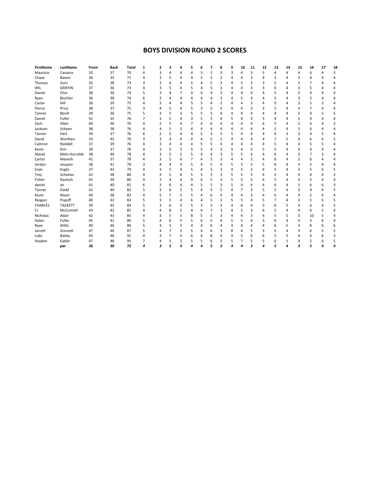# **BOYS DIVISION ROUND 2 SCORES**

| <b>FirstName</b> | LastName       | Front | <b>Back</b> | <b>Total</b> | 1              | 2              | 3 |          | 5 | 6              | 7 | 8              | 9 | 10 | 11 | 12 | 13 | 14 | 15             | 16 | 17 | 18 |
|------------------|----------------|-------|-------------|--------------|----------------|----------------|---|----------|---|----------------|---|----------------|---|----|----|----|----|----|----------------|----|----|----|
| Mauricio         | Cavazos        | 33    | 37          | 70           | 4              | 3              | 4 |          | 4 | 3              | 5 | 3              | 3 | 4  | 3  | 5  | Δ  | 4  | 4              | 6  |    | 3  |
| Chase            | Baxter         | 36    | 35          | 71           | 4              | 3              | 5 |          | Δ | 5              | 5 | $\overline{2}$ |   | 4  | 3  |    | 5  |    | 3              | Δ  |    |    |
| Thomas           | Zorn           | 35    | 38          | 73           | 3              | 3              |   |          | 5 | 4              | 5 | 3              |   | 5  | 3  | 3  | 5  |    | 3              | 7  |    |    |
| WIL              | <b>GRIFFIN</b> | 37    | 36          | 73           | 4              | 3              | 5 | 4        | 5 | 4              | 5 | 3              |   | 4  | ٩  | 3  | h  | 4  | 3              | 5  |    | Δ  |
| Daniel           | Choi           | 38    | 36          | 74           | 5              | 3              |   |          | 4 | $\overline{4}$ | 4 | 3              |   | Δ  |    |    | 5  |    | 3              | 4  |    | Δ  |
| Ryan             | Bischler       | 36    | 38          | 74           | 6              | 3              |   | $\Delta$ | Δ | 4              | 4 | 3              |   | 5  |    |    | 5  |    | 3              | 5  |    | Δ  |
| Carter           | Hill           | 36    | 39          | 75           | 4              | 3              | Δ | 4        | 5 | 5              | 4 | 3              |   | 4  | 3  |    | q  |    | 3              | 5  | 3  | Δ  |
| Pierce           | Price          | 38    | 37          | 75           | 3              | 4              | 5 | $\Delta$ | 5 | 3              | 5 | 5              | 4 | 4  | 3  | 3  | 5  | 4  | 3              | 7  |    | Δ  |
| Tanner           | Bevill         | 39    | 36          | 75           | 5              | 3              | 5 | 3        | 5 | 5              | 5 | 4              | 4 | 4  |    |    |    |    | $\overline{2}$ | 4  |    | 5  |
| Daniel           | Fuller         | 41    | 35          | 76           | $\overline{7}$ | 3              | 5 | $\Delta$ | 3 | 5              | 5 | 4              | 5 | 4  |    |    |    |    | 3              | 4  |    | 4  |
| Zach             | Allen          | 40    | 36          | 76           | 4              | $\overline{2}$ | 5 | 4        |   | 4              | 6 | 4              |   | 4  |    |    | 5  | 4  | $\overline{2}$ | 6  |    | 3  |
| Jackson          | Scheen         | 38    | 38          | 76           | 4              | 4              | 5 | 5        | 4 | 4              | 4 | 4              |   | Δ  |    |    | 5  | 4  | 3              | 6  |    | 4  |
| Tanner           | Hart           | 39    | 37          | 76           | 6              | 2              | 5 |          | Δ | 5              | 5 | 3              | 5 | 4  |    |    | ĥ  | 3  | 3              | 4  | 5  | 4  |
| David            | Worthen        | 33    | 43          | 76           | 3              | 3              |   | 4        | 4 | 4              | 5 | 2              | 4 | 4  |    |    |    | 5  | 4              | 6  |    | 5  |
| Camron           | Reddell        | 37    | 39          | 76           | 4              | 3              |   | 4        | 4 | 5              | 5 | 4              | 4 | 4  |    |    | 5  |    | 4              | 5  | 5  | 4  |
| Kevin            | Kim            | 39    | 37          | 76           | 4              | 3              | 5 | 5        | 5 | 5              | 4 | 3              | 5 | 4  |    |    | 5  | Δ  | Δ              | Δ  |    | Δ  |
| Alavid           | Melo Iturralde | 38    | 40          | 78           | 4              | 3              | 5 | 5        | 5 | $\overline{4}$ | 4 | 3              | 5 | 5  |    |    | h  | 4  | 3              | 7  | 3  | Δ  |
| Carter           | Maneth         | 41    | 37          | 78           | 4              | 3              | 5 | 6        |   | 4              | 5 | 3              |   | 4  |    |    | 6  |    | 3              | 6  |    | Δ  |
| Jordan           | Jesayen        | 38    | 41          | 79           | 3              | 4              |   | $\Delta$ | 5 | 4              | 5 | 4              | 5 | 5  | ς  |    | ĥ  |    | 3              | 5  |    | Δ  |
| Evan             | Kugle          | 37    | 42          | 79           | 4              | 3              | 5 | 4        | 5 | 4              | 5 | 3              | 4 | 5  | 3  | h  |    | 4  | 3              | 5  | 6  | 5  |
| Trey             | Scheelar       | 42    | 38          | 80           | 4              | 4              | 5 | 6        | 5 | 5              | 5 | 3              | 5 | 5  | 5  |    |    |    | 4              | 4  |    | 3  |
| Fisher           | Kautsch        | 41    | 39          | 80           | 4              | 3              |   | $\Delta$ | 9 | 4              | 5 | 3              | 5 | 5  | 5  |    | 5  | 4  | 3              | 5  |    | Δ  |
| daniel           | an             | 41    | 40          | 81           | 6              | 3              | 6 | $\Delta$ | 4 | 5              | 5 | 3              | 5 | 4  |    |    |    |    | 3              | 6  | 6  | 3  |
| Tanner           | Dodd           | 42    | 40          | 82           | 5              | 3              | 6 | 5        | 5 | 4              | 5 | 5              |   | 7  | 3  |    | 5  |    | 3              | Δ  |    | 5  |
| Kevin            | Nixon          | 44    | 38          | 82           | 4              | 5              |   | 5        | 5 | 4              | 6 | 4              |   | 4  | 3  |    | 6  |    | 4              | 5  |    | 4  |
| Reagan           | Popoff         | 40    | 43          | 83           | 5              | 3              | 5 | 4        | 6 | 4              | 5 | 3              | 5 | 5  |    | 5  |    | 4  | 3              | 5  | 5  | 5  |
| <b>CHARLES</b>   | <b>TACKETT</b> | 39    | 45          | 84           | 5              | 3              | 6 | 5        | 5 | 3              | 5 | 3              |   | 6  |    |    | 6  | 5  | Δ              | 6  |    | 5  |
| CJ               | McConnell      | 43    | 42          | 85           | 4              | 4              | 8 | 5        | 4 | 4              |   | 3              | 4 | 5  |    |    |    | 4  | 4              | 6  |    | 4  |
| Nicholas         | Adair          | 42    | 43          | 85           | 4              | 3              | 5 | 5        | 8 | 5              | 5 | 3              |   | 4  | 3  |    | 5  | 5  | 3              | 10 | 5  | 4  |
| Dylan            | Fuller         | 45    | 41          | 86           | 5              | 4              | 6 | 5        | 5 | 6              | 5 | 4              | 5 | 5  |    |    | 6  | 4  | 4              | 5  | 6  | Δ  |
| Ryan             | Willis         | 40    | 46          | 86           | 5              | 3              | 5 | 5        | Δ | 4              | 6 | 4              |   | 4  |    |    | ĥ  | 5  | 3              | 8  | 6  | 6  |
| Jarrett          | Grinnell       | 47    | 40          | 87           | 5              | 4              |   | 5        | 5 | 4              | 6 | 3              | 8 | 4  | 5  | 3  | 5  | 4  | 3              | 6  | 5  | 5  |
| Luke             | Bailey         | 45    | 46          | 91           | 4              | 3              | 7 | 5        | 6 | 4              | 8 | 4              | 4 | 5  | 6  | 6  | 5  | 5  | 4              | 6  | 6  | 3  |
| Hayden           | Gatlin         | 47    | 48          | 95           | 7              | 4              | 5 | 5        | 5 | 5              | 6 | 5              | 5 | 7  | 5  |    | 6  | 5  | Δ              | 5  | 6  | 5  |
|                  | par            | 36    | 36          | 72           | 4              | 3              |   | 4        |   | Λ              |   | 3              |   | л  | ٩  |    |    | 4  | з              | 5  |    | Δ  |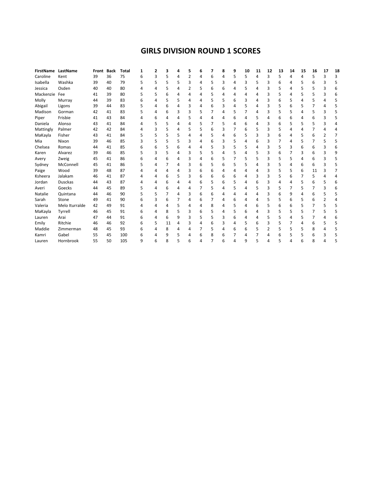# **GIRLS DIVISION ROUND 1 SCORES**

| FirstName LastName |                | Front Back |    | Total | 1 |   | 3  | Δ |   | 6 | 7 | 8 | 9 | 10 | 11 | 12 | 13 | 14 | 15 | 16 | 17 | 18 |
|--------------------|----------------|------------|----|-------|---|---|----|---|---|---|---|---|---|----|----|----|----|----|----|----|----|----|
| Caroline           | Kent           | 39         | 36 | 75    | 6 |   | 5  | 4 | 2 | 4 | 6 | 4 | 5 | 5  | 4  | 3  | 5  | 4  | 4  | 5  | 3  | ς  |
| Isabella           | Washka         | 39         | 40 | 79    | 5 | 5 | 5  | 5 | 3 | 4 | 5 | 3 | 4 | 3  | 5  |    | 6  | 4  | 5  | 6  |    |    |
| Jessica            | Osden          | 40         | 40 | 80    |   |   | 5  | 4 | 2 | 5 | 6 | 6 | 4 | 5  | 4  |    | 5  | 4  |    |    | 3  |    |
| Mackenzie          | Fee            | 41         | 39 | 80    | 5 | 5 | 6  |   | 4 |   | 5 |   |   |    |    |    | 5  |    | 5  |    | 3  | 6  |
| Molly              | Murray         | 44         | 39 | 83    | 6 | 4 |    | 5 | 4 |   |   | 5 | 6 | 3  | 4  |    | 6  |    | 4  |    | 4  |    |
| Abigail            | Ligons         | 39         | 44 | 83    | 5 |   | 6  |   | 3 |   | 6 | 3 | 4 | 5  |    |    | 5  | 6  | 5  |    |    |    |
| Madison            | Gorman         | 42         | 41 | 83    |   | Δ | 6  | ੨ | 3 | 5 |   | 4 | 5 |    | 4  |    | 5  |    | Δ  | 5  | 3  |    |
| Piper              | Frisbie        | 41         | 43 | 84    |   | 6 |    |   | 5 |   |   |   | 6 |    | 5  |    | 6  | 6  |    | b  | 3  |    |
| Daniela            | Alonso         | 43         | 41 | 84    |   | 5 | 5  | 4 | 4 | 5 | 7 | 5 | 4 | 6  | 4  |    | 6  |    | 5  |    | з  |    |
| Mattingly          | Palmer         | 42         | 42 | 84    |   | 3 | 5  | 4 | 5 | 5 | 6 | 3 |   | 6  | 5  | 3  | 5  |    |    |    |    |    |
| MaKayla            | Fisher         | 43         | 41 | 84    |   | 5 | 5  | 5 | 4 |   | 5 | 4 | 6 | 5  | 3  |    | 6  | 4  | 5  | 6  | 2  |    |
| Mia                | Nixon          | 39         | 46 | 85    | 3 | 5 | 5  | 5 | 3 | 4 | 6 | 3 | 5 | 4  | 6  | 3  |    | 4  | 5  |    | 5  |    |
| Chelsea            | Romas          | 44         | 41 | 85    | 6 | 6 | 5  | 6 | 4 | 4 | 5 |   | 5 | 5  | 4  |    | 5  | 3  | 6  | 6  | з  | 6  |
| Karen              | Alvarez        | 39         | 46 | 85    | 5 | 3 | 5  | 4 | 3 | 5 | 5 |   | 5 | 4  | 5  | 3  | 6  |    | 3  | 6  | 3  |    |
| Avery              | Zweig          | 45         | 41 | 86    | հ |   | 6  |   | 3 | 4 | 6 | 5 | 7 | 5  | 5  |    | 5  |    | 4  | h  | ς  |    |
| Sydney             | McConnell      | 45         | 41 | 86    | 5 |   |    |   | 3 | 6 | 5 | 6 | 5 | 5  |    |    | 5  |    | 6  | 6  | 3  |    |
| Paige              | Wood           | 39         | 48 | 87    |   |   | Δ  |   | 3 |   | 6 |   | 4 |    |    |    | 5  |    | 6  | 11 |    |    |
| Ksheera            | Jalakam        | 46         | 41 | 87    |   |   | 6  | 5 | 3 | 6 | 6 | 6 | 6 |    | 3  |    | 5  | 6  |    | 5  |    |    |
| Jordan             | <b>Dusckas</b> | 44         | 43 | 87    |   |   |    |   | 4 |   | 5 |   | 5 | 4  |    |    | 4  |    |    |    |    |    |
| Averi              | Goecks         | 44         | 45 | 89    |   |   | 6  | 4 | 4 |   | 5 |   | 5 | 4  | 5  | 3  | 5  |    | 5  |    | 3  |    |
| Natalie            | Quintana       | 44         | 46 | 90    |   | 5 |    | Δ | 3 |   |   |   | Δ |    |    |    | 6  | q  |    |    |    |    |
| Sarah              | Stone          | 49         | 41 | 90    | 6 | 3 | 6  |   | 4 | 6 |   | 4 | 6 | 4  | 4  |    | 5  | 6  |    | 6  | 2  |    |
| Valeria            | Melo Iturralde | 42         | 49 | 91    |   |   | 4  |   | 4 | 4 | 8 |   | 5 | 4  |    |    | 6  | 6  |    |    |    |    |
| MaKayla            | Tyrrell        | 46         | 45 | 91    | 6 | 4 | 8  | 5 | 3 | 6 | 5 | 4 | 5 | 6  | 4  | 3  | 5  | 5  | 5  |    | 5  |    |
| Lauren             | Arai           | 47         | 44 | 91    |   | Δ | 6  | 9 | 3 | 5 | 5 |   | 6 |    |    |    | 5  | 4  |    |    |    |    |
| Emily              | Ritchie        | 46         | 46 | 92    | 6 | 5 | 11 | 4 | 3 | Δ | 6 | 3 | 4 | 5  | 6  | 3  | 5  |    | Δ  | 6  | 5  | 5  |
| Maddie             | Zimmerman      | 48         | 45 | 93    | 6 |   | 8  |   | 4 |   |   |   | 6 | 6  |    |    | 5  |    |    |    |    |    |
| Kamri              | Gabel          | 55         | 45 | 100   | հ |   | 9  |   | 4 |   | 8 | h |   |    |    |    | 6  |    |    | b  | 3  |    |
| Lauren             | Hornbrook      | 55         | 50 | 105   | 9 |   | 8  |   |   |   |   |   |   | q  |    |    |    |    |    |    |    |    |